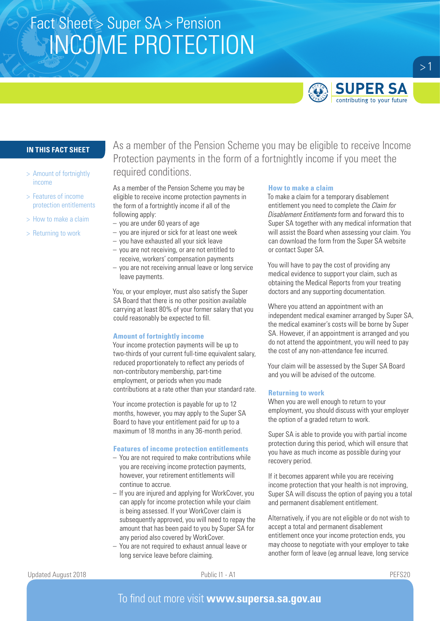# Fact Sheet > Super SA > Pension INCOME PROTECTION



# **IN THIS FACT SHEET**

- > Amount of fortnightly income
- > Features of income protection entitlements
- > How to make a claim
- > Returning to work

As a member of the Pension Scheme you may be eligible to receive Income Protection payments in the form of a fortnightly income if you meet the required conditions.

As a member of the Pension Scheme you may be eligible to receive income protection payments in the form of a fortnightly income if all of the following apply:

- you are under 60 years of age
- you are injured or sick for at least one week
- you have exhausted all your sick leave
- you are not receiving, or are not entitled to receive, workers' compensation payments
- you are not receiving annual leave or long service leave payments.

You, or your employer, must also satisfy the Super SA Board that there is no other position available carrying at least 80% of your former salary that you could reasonably be expected to fill.

# **Amount of fortnightly income**

Your income protection payments will be up to two-thirds of your current full-time equivalent salary, reduced proportionately to reflect any periods of non-contributory membership, part-time employment, or periods when you made contributions at a rate other than your standard rate.

Your income protection is payable for up to 12 months, however, you may apply to the Super SA Board to have your entitlement paid for up to a maximum of 18 months in any 36-month period.

# **Features of income protection entitlements**

- You are not required to make contributions while you are receiving income protection payments, however, your retirement entitlements will continue to accrue.
- If you are injured and applying for WorkCover, you can apply for income protection while your claim is being assessed. If your WorkCover claim is subsequently approved, you will need to repay the amount that has been paid to you by Super SA for any period also covered by WorkCover.
- You are not required to exhaust annual leave or long service leave before claiming.

#### **How to make a claim**

To make a claim for a temporary disablement entitlement you need to complete the *Claim for Disablement Entitlements* form and forward this to Super SA together with any medical information that will assist the Board when assessing your claim. You can download the form from the Super SA website or contact Super SA.

You will have to pay the cost of providing any medical evidence to support your claim, such as obtaining the Medical Reports from your treating doctors and any supporting documentation.

Where you attend an appointment with an independent medical examiner arranged by Super SA, the medical examiner's costs will be borne by Super SA. However, if an appointment is arranged and you do not attend the appointment, you will need to pay the cost of any non-attendance fee incurred.

Your claim will be assessed by the Super SA Board and you will be advised of the outcome.

# **Returning to work**

When you are well enough to return to your employment, you should discuss with your employer the option of a graded return to work.

Super SA is able to provide you with partial income protection during this period, which will ensure that you have as much income as possible during your recovery period.

If it becomes apparent while you are receiving income protection that your health is not improving, Super SA will discuss the option of paying you a total and permanent disablement entitlement.

Alternatively, if you are not eligible or do not wish to accept a total and permanent disablement entitlement once your income protection ends, you may choose to negotiate with your employer to take another form of leave (eg annual leave, long service

 $>1$